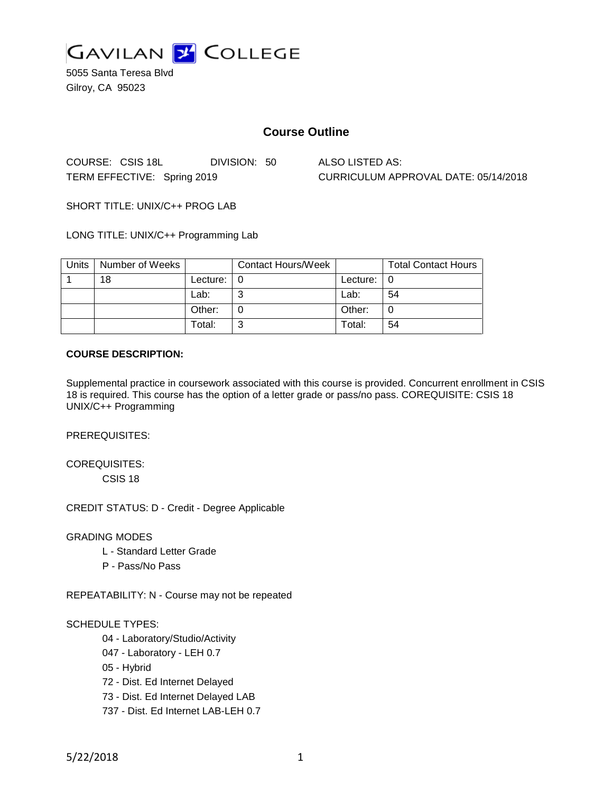

5055 Santa Teresa Blvd Gilroy, CA 95023

## **Course Outline**

COURSE: CSIS 18L DIVISION: 50 ALSO LISTED AS: TERM EFFECTIVE: Spring 2019 CURRICULUM APPROVAL DATE: 05/14/2018

SHORT TITLE: UNIX/C++ PROG LAB

LONG TITLE: UNIX/C++ Programming Lab

| Units | Number of Weeks |          | <b>Contact Hours/Week</b> |          | <b>Total Contact Hours</b> |
|-------|-----------------|----------|---------------------------|----------|----------------------------|
|       | 18              | Lecture: |                           | Lecture: |                            |
|       |                 | Lab:     |                           | Lab:     | 54                         |
|       |                 | Other:   |                           | Other:   |                            |
|       |                 | Total:   |                           | Total:   | 54                         |

#### **COURSE DESCRIPTION:**

Supplemental practice in coursework associated with this course is provided. Concurrent enrollment in CSIS 18 is required. This course has the option of a letter grade or pass/no pass. COREQUISITE: CSIS 18 UNIX/C++ Programming

PREREQUISITES:

COREQUISITES: CSIS 18

CREDIT STATUS: D - Credit - Degree Applicable

GRADING MODES

- L Standard Letter Grade
- P Pass/No Pass

REPEATABILITY: N - Course may not be repeated

#### SCHEDULE TYPES:

- 04 Laboratory/Studio/Activity
- 047 Laboratory LEH 0.7
- 05 Hybrid
- 72 Dist. Ed Internet Delayed
- 73 Dist. Ed Internet Delayed LAB
- 737 Dist. Ed Internet LAB-LEH 0.7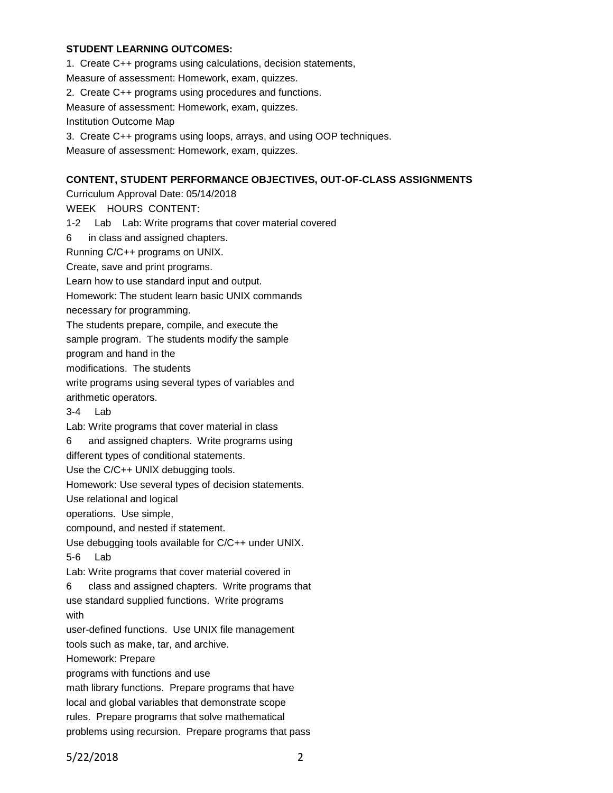#### **STUDENT LEARNING OUTCOMES:**

1. Create C++ programs using calculations, decision statements, Measure of assessment: Homework, exam, quizzes. 2. Create C++ programs using procedures and functions. Measure of assessment: Homework, exam, quizzes. Institution Outcome Map 3. Create C++ programs using loops, arrays, and using OOP techniques. Measure of assessment: Homework, exam, quizzes. **CONTENT, STUDENT PERFORMANCE OBJECTIVES, OUT-OF-CLASS ASSIGNMENTS** Curriculum Approval Date: 05/14/2018 WEEK HOURS CONTENT: 1-2 Lab Lab: Write programs that cover material covered 6 in class and assigned chapters. Running C/C++ programs on UNIX. Create, save and print programs. Learn how to use standard input and output. Homework: The student learn basic UNIX commands necessary for programming. The students prepare, compile, and execute the

sample program. The students modify the sample

program and hand in the

modifications. The students

write programs using several types of variables and arithmetic operators.

3-4 Lab

Lab: Write programs that cover material in class

6 and assigned chapters. Write programs using different types of conditional statements.

Use the C/C++ UNIX debugging tools.

Homework: Use several types of decision statements.

Use relational and logical

operations. Use simple,

compound, and nested if statement.

Use debugging tools available for C/C++ under UNIX. 5-6 Lab

Lab: Write programs that cover material covered in

6 class and assigned chapters. Write programs that use standard supplied functions. Write programs with

user-defined functions. Use UNIX file management

tools such as make, tar, and archive.

Homework: Prepare

programs with functions and use

math library functions. Prepare programs that have

local and global variables that demonstrate scope

rules. Prepare programs that solve mathematical

problems using recursion. Prepare programs that pass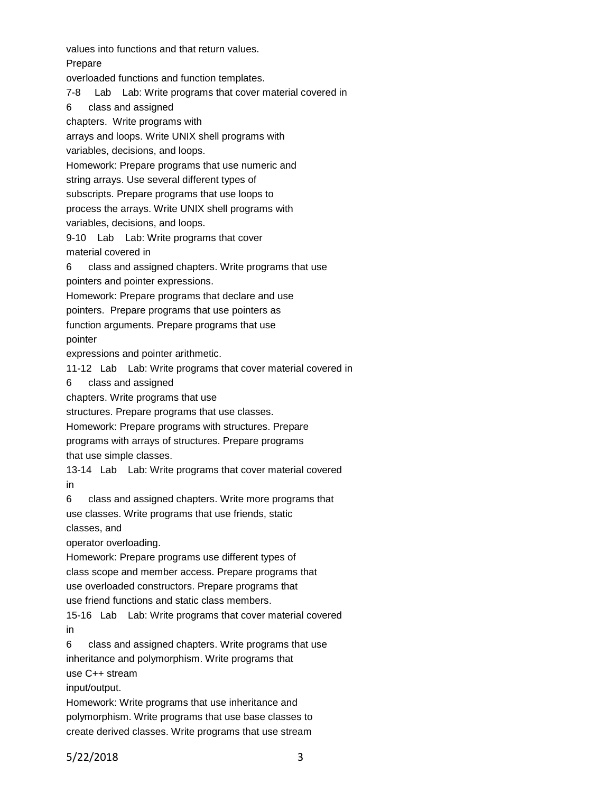values into functions and that return values.

Prepare

overloaded functions and function templates.

7-8 Lab Lab: Write programs that cover material covered in

6 class and assigned

chapters. Write programs with

arrays and loops. Write UNIX shell programs with

variables, decisions, and loops.

Homework: Prepare programs that use numeric and

string arrays. Use several different types of

subscripts. Prepare programs that use loops to

process the arrays. Write UNIX shell programs with

variables, decisions, and loops.

9-10 Lab Lab: Write programs that cover material covered in

6 class and assigned chapters. Write programs that use pointers and pointer expressions.

Homework: Prepare programs that declare and use

pointers. Prepare programs that use pointers as

function arguments. Prepare programs that use

pointer

expressions and pointer arithmetic.

11-12 Lab Lab: Write programs that cover material covered in

6 class and assigned

chapters. Write programs that use

structures. Prepare programs that use classes.

Homework: Prepare programs with structures. Prepare programs with arrays of structures. Prepare programs that use simple classes.

13-14 Lab Lab: Write programs that cover material covered in

6 class and assigned chapters. Write more programs that use classes. Write programs that use friends, static

classes, and

operator overloading.

Homework: Prepare programs use different types of

class scope and member access. Prepare programs that

use overloaded constructors. Prepare programs that

use friend functions and static class members.

15-16 Lab Lab: Write programs that cover material covered in

6 class and assigned chapters. Write programs that use inheritance and polymorphism. Write programs that use C++ stream

input/output.

Homework: Write programs that use inheritance and polymorphism. Write programs that use base classes to create derived classes. Write programs that use stream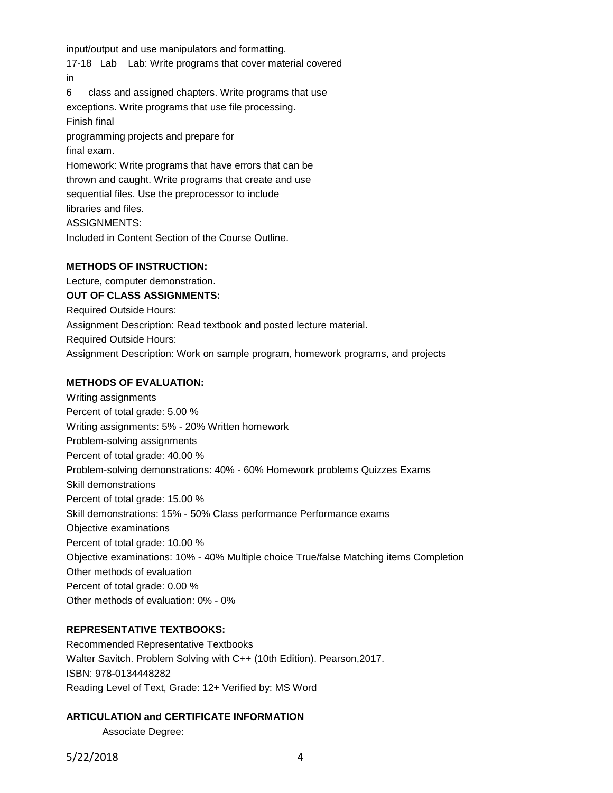input/output and use manipulators and formatting.

17-18 Lab Lab: Write programs that cover material covered in

6 class and assigned chapters. Write programs that use exceptions. Write programs that use file processing.

Finish final

programming projects and prepare for final exam. Homework: Write programs that have errors that can be

thrown and caught. Write programs that create and use sequential files. Use the preprocessor to include libraries and files. ASSIGNMENTS:

Included in Content Section of the Course Outline.

# **METHODS OF INSTRUCTION:**

Lecture, computer demonstration.

**OUT OF CLASS ASSIGNMENTS:**

Required Outside Hours:

Assignment Description: Read textbook and posted lecture material.

Required Outside Hours:

Assignment Description: Work on sample program, homework programs, and projects

# **METHODS OF EVALUATION:**

Writing assignments Percent of total grade: 5.00 % Writing assignments: 5% - 20% Written homework Problem-solving assignments Percent of total grade: 40.00 % Problem-solving demonstrations: 40% - 60% Homework problems Quizzes Exams Skill demonstrations Percent of total grade: 15.00 % Skill demonstrations: 15% - 50% Class performance Performance exams Objective examinations Percent of total grade: 10.00 % Objective examinations: 10% - 40% Multiple choice True/false Matching items Completion Other methods of evaluation Percent of total grade: 0.00 % Other methods of evaluation: 0% - 0%

### **REPRESENTATIVE TEXTBOOKS:**

Recommended Representative Textbooks Walter Savitch. Problem Solving with C++ (10th Edition). Pearson,2017. ISBN: 978-0134448282 Reading Level of Text, Grade: 12+ Verified by: MS Word

### **ARTICULATION and CERTIFICATE INFORMATION**

Associate Degree:

5/22/2018 4